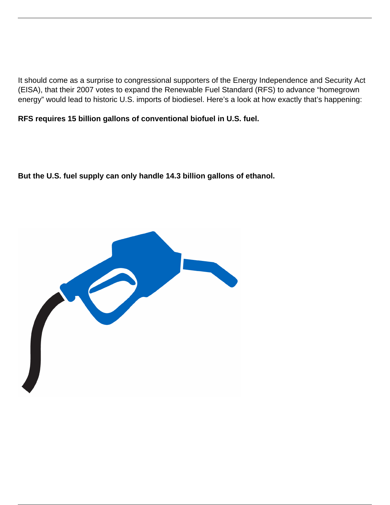It should come as a surprise to congressional supporters of the Energy Independence and Security Act (EISA), that their 2007 votes to expand the Renewable Fuel Standard (RFS) to advance "homegrown energy" would lead to historic U.S. imports of biodiesel. Here's a look at how exactly that's happening:

**RFS requires 15 billion gallons of conventional biofuel in U.S. fuel.**

**But the U.S. fuel supply can only handle 14.3 billion gallons of ethanol.**

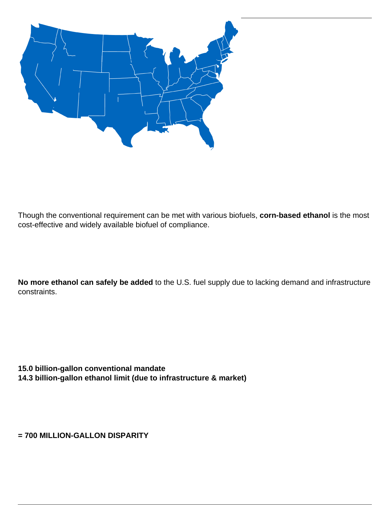

Though the conventional requirement can be met with various biofuels, **corn-based ethanol** is the most cost-effective and widely available biofuel of compliance.

**No more ethanol can safely be added** to the U.S. fuel supply due to lacking demand and infrastructure constraints.

**15.0 billion-gallon conventional mandate 14.3 billion-gallon ethanol limit (due to infrastructure & market)**

**= 700 MILLION-GALLON DISPARITY**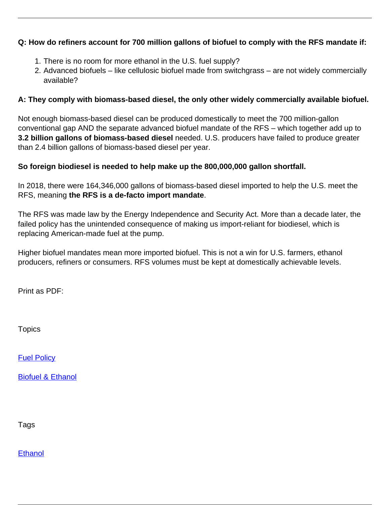## **Q: How do refiners account for 700 million gallons of biofuel to comply with the RFS mandate if:**

- 1. There is no room for more ethanol in the U.S. fuel supply?
- 2. Advanced biofuels like cellulosic biofuel made from switchgrass are not widely commercially available?

## **A: They comply with biomass-based diesel, the only other widely commercially available biofuel.**

Not enough biomass-based diesel can be produced domestically to meet the 700 million-gallon conventional gap AND the separate advanced biofuel mandate of the RFS – which together add up to **3.2 billion gallons of biomass-based diesel** needed. U.S. producers have failed to produce greater than 2.4 billion gallons of biomass-based diesel per year.

## **So foreign biodiesel is needed to help make up the 800,000,000 gallon shortfall.**

In 2018, there were 164,346,000 gallons of biomass-based diesel imported to help the U.S. meet the RFS, meaning **the RFS is a de-facto import mandate**.

The RFS was made law by the Energy Independence and Security Act. More than a decade later, the failed policy has the unintended consequence of making us import-reliant for biodiesel, which is replacing American-made fuel at the pump.

Higher biofuel mandates mean more imported biofuel. This is not a win for U.S. farmers, ethanol producers, refiners or consumers. RFS volumes must be kept at domestically achievable levels.

Print as PDF:

**Topics** 

**[Fuel Policy](/topic/fuel-policy)** 

**[Biofuel & Ethanol](/topic/biofuel-ethanol)** 

Tags

**[Ethanol](/tag/ethanol)**